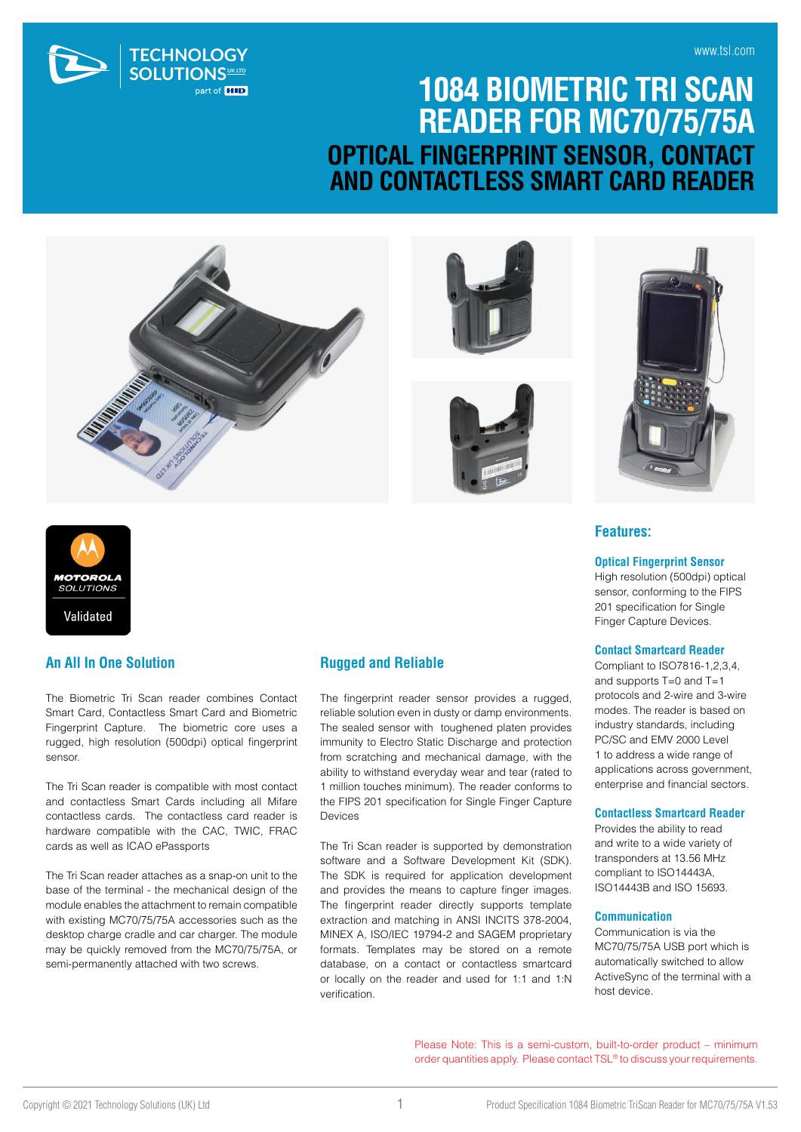

## **1084 BIOMETRIC TRI SCAN READER FOR MC70/75/75A OPTICAL FINGERPRINT SENSOR, CONTACT AND CONTACTLESS SMART CARD READER**









# **MOTOROLA**<br>SOLUTIONS Validated

#### **An All In One Solution**

The Biometric Tri Scan reader combines Contact Smart Card, Contactless Smart Card and Biometric Fingerprint Capture. The biometric core uses a rugged, high resolution (500dpi) optical fingerprint sensor.

The Tri Scan reader is compatible with most contact and contactless Smart Cards including all Mifare contactless cards. The contactless card reader is hardware compatible with the CAC, TWIC, FRAC cards as well as ICAO ePassports

The Tri Scan reader attaches as a snap-on unit to the base of the terminal - the mechanical design of the module enables the attachment to remain compatible with existing MC70/75/75A accessories such as the desktop charge cradle and car charger. The module may be quickly removed from the MC70/75/75A, or semi-permanently attached with two screws.

#### **Rugged and Reliable**

The fingerprint reader sensor provides a rugged, reliable solution even in dusty or damp environments. The sealed sensor with toughened platen provides immunity to Electro Static Discharge and protection from scratching and mechanical damage, with the ability to withstand everyday wear and tear (rated to 1 million touches minimum). The reader conforms to the FIPS 201 specification for Single Finger Capture Devices

The Tri Scan reader is supported by demonstration software and a Software Development Kit (SDK). The SDK is required for application development and provides the means to capture finger images. The fingerprint reader directly supports template extraction and matching in ANSI INCITS 378-2004, MINEX A, ISO/IEC 19794-2 and SAGEM proprietary formats. Templates may be stored on a remote database, on a contact or contactless smartcard or locally on the reader and used for 1:1 and 1:N verification.

#### **Features:**

**Optical Fingerprint Sensor**

High resolution (500dpi) optical sensor, conforming to the FIPS 201 specification for Single Finger Capture Devices.

#### **Contact Smartcard Reader**

Compliant to ISO7816-1,2,3,4, and supports T=0 and T=1 protocols and 2-wire and 3-wire modes. The reader is based on industry standards, including PC/SC and EMV 2000 Level 1 to address a wide range of applications across government, enterprise and financial sectors.

#### **Contactless Smartcard Reader**

Provides the ability to read and write to a wide variety of transponders at 13.56 MHz compliant to ISO14443A, ISO14443B and ISO 15693.

#### **Communication**

Communication is via the MC70/75/75A USB port which is automatically switched to allow ActiveSync of the terminal with a host device.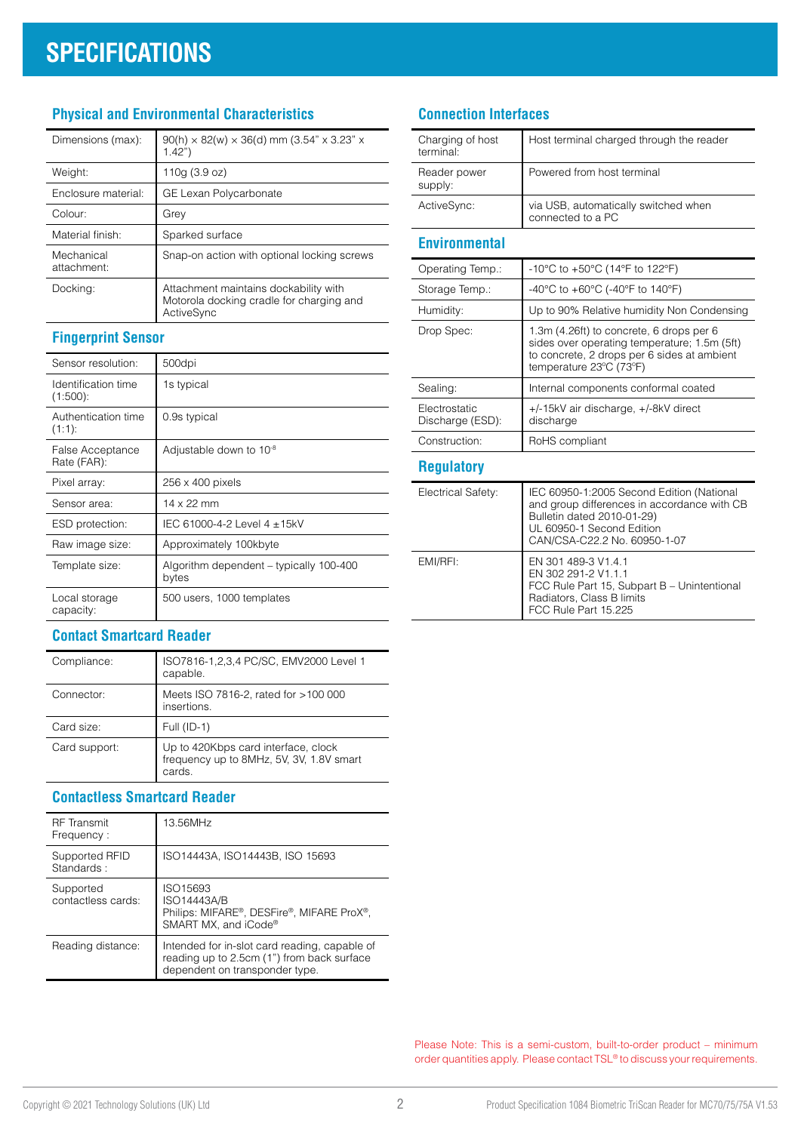## **SPECIFICATIONS**

### **Physical and Environmental Characteristics**

| Dimensions (max):         | $90(h) \times 82(w) \times 36(d)$ mm (3.54" x 3.23" x<br>1.42"                                  |
|---------------------------|-------------------------------------------------------------------------------------------------|
| Weight:                   | 110g (3.9 oz)                                                                                   |
| Enclosure material:       | GE Lexan Polycarbonate                                                                          |
| Colour:                   | Grey                                                                                            |
| Material finish:          | Sparked surface                                                                                 |
| Mechanical<br>attachment: | Snap-on action with optional locking screws                                                     |
| Docking:                  | Attachment maintains dockability with<br>Motorola docking cradle for charging and<br>ActiveSync |

### **Fingerprint Sensor**

| Sensor resolution:                 | 500dpi                                           |
|------------------------------------|--------------------------------------------------|
| Identification time<br>$(1:500)$ : | 1s typical                                       |
| Authentication time<br>(1:1):      | 0.9s typical                                     |
| False Acceptance<br>Rate (FAR):    | Adjustable down to 10 <sup>-8</sup>              |
| Pixel array:                       | 256 x 400 pixels                                 |
| Sensor area:                       | 14 x 22 mm                                       |
| ESD protection:                    | IEC 61000-4-2 Level 4 ±15kV                      |
| Raw image size:                    | Approximately 100kbyte                           |
| Template size:                     | Algorithm dependent - typically 100-400<br>bytes |
| Local storage<br>capacity:         | 500 users, 1000 templates                        |

### **Contact Smartcard Reader**

| Compliance:   | ISO7816-1,2,3,4 PC/SC, EMV2000 Level 1<br>capable.                                        |
|---------------|-------------------------------------------------------------------------------------------|
| Connector:    | Meets ISO 7816-2, rated for >100 000<br>insertions.                                       |
| Card size:    | Full (ID-1)                                                                               |
| Card support: | Up to 420Kbps card interface, clock<br>frequency up to 8MHz, 5V, 3V, 1.8V smart<br>cards. |

#### **Contactless Smartcard Reader**

| <b>RF</b> Transmit<br>Frequency: | 13.56MHz                                                                                                                      |
|----------------------------------|-------------------------------------------------------------------------------------------------------------------------------|
| Supported RFID<br>Standards:     | ISO14443A, ISO14443B, ISO 15693                                                                                               |
| Supported<br>contactless cards:  | ISO15693<br>ISO14443A/B<br>Philips: MIFARE®, DESFire®, MIFARE ProX®,<br>SMART MX, and iCode®                                  |
| Reading distance:                | Intended for in-slot card reading, capable of<br>reading up to 2.5cm (1") from back surface<br>dependent on transponder type. |

#### **Connection Interfaces**

| Charging of host<br>terminal <sup>.</sup> | Host terminal charged through the reader                  |
|-------------------------------------------|-----------------------------------------------------------|
| Reader power<br>supply:                   | Powered from host terminal                                |
| ActiveSync:                               | via USB, automatically switched when<br>connected to a PC |

#### **Environmental**

| Operating Temp.:                  | -10°C to +50°C (14°F to 122°F)                                                                                                                                     |
|-----------------------------------|--------------------------------------------------------------------------------------------------------------------------------------------------------------------|
| Storage Temp.:                    | -40°C to +60°C (-40°F to 140°F)                                                                                                                                    |
| Humidity:                         | Up to 90% Relative humidity Non Condensing                                                                                                                         |
| Drop Spec:                        | 1.3m (4.26ft) to concrete, 6 drops per 6<br>sides over operating temperature; 1.5m (5ft)<br>to concrete, 2 drops per 6 sides at ambient<br>temperature 23°C (73°F) |
| Sealing:                          | Internal components conformal coated                                                                                                                               |
| Electrostatic<br>Discharge (ESD): | +/-15kV air discharge, +/-8kV direct<br>discharge                                                                                                                  |
| Construction:                     | RoHS compliant                                                                                                                                                     |

### **Regulatory**

| Electrical Safety: | IEC 60950-1:2005 Second Edition (National<br>and group differences in accordance with CB<br>Bulletin dated 2010-01-29)<br>UL 60950-1 Second Edition<br>CAN/CSA-C22.2 No. 60950-1-07 |
|--------------------|-------------------------------------------------------------------------------------------------------------------------------------------------------------------------------------|
| EMI/RFI:           | EN 301 489-3 V1.4.1<br>EN 302 291-2 V1.1.1<br>FCC Rule Part 15, Subpart B - Unintentional<br>Radiators, Class B limits<br>FCC Rule Part 15.225                                      |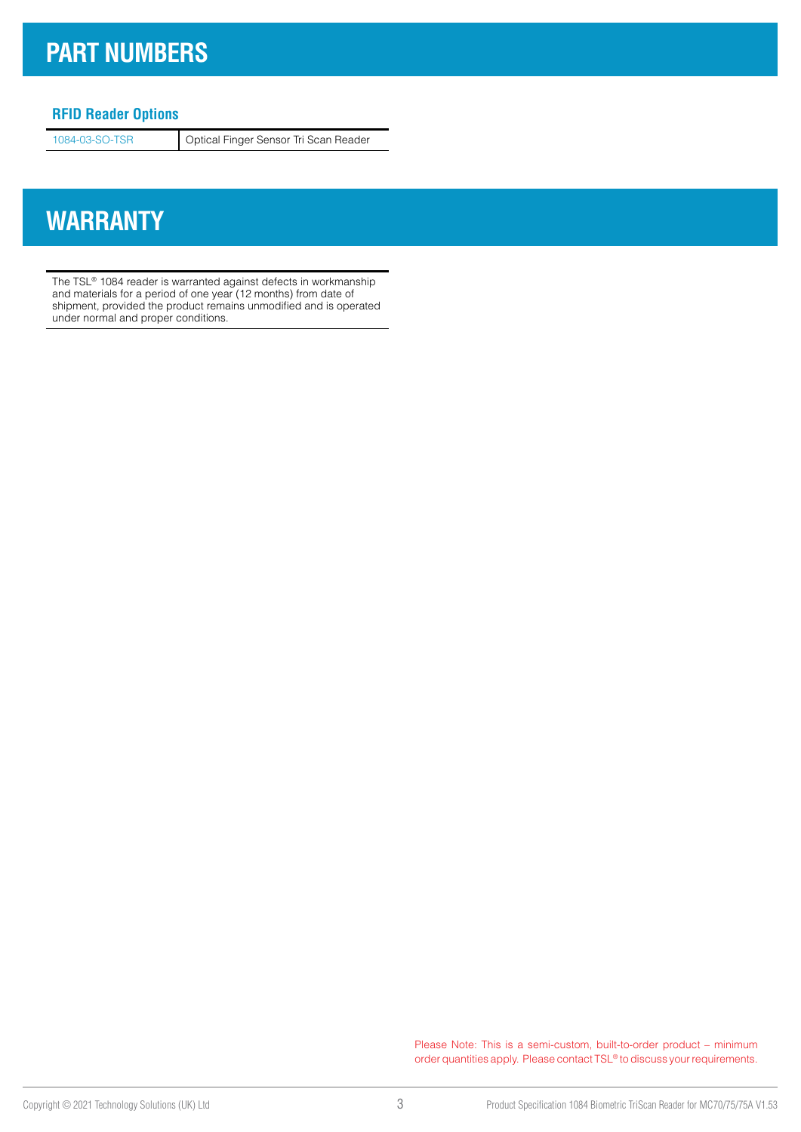### **PART NUMBERS**

#### **RFID Reader Options**

1084-03-SO-TSR Optical Finger Sensor Tri Scan Reader

### **WARRANTY**

The TSL® 1084 reader is warranted against defects in workmanship and materials for a period of one year (12 months) from date of shipment, provided the product remains unmodified and is operated under normal and proper conditions.